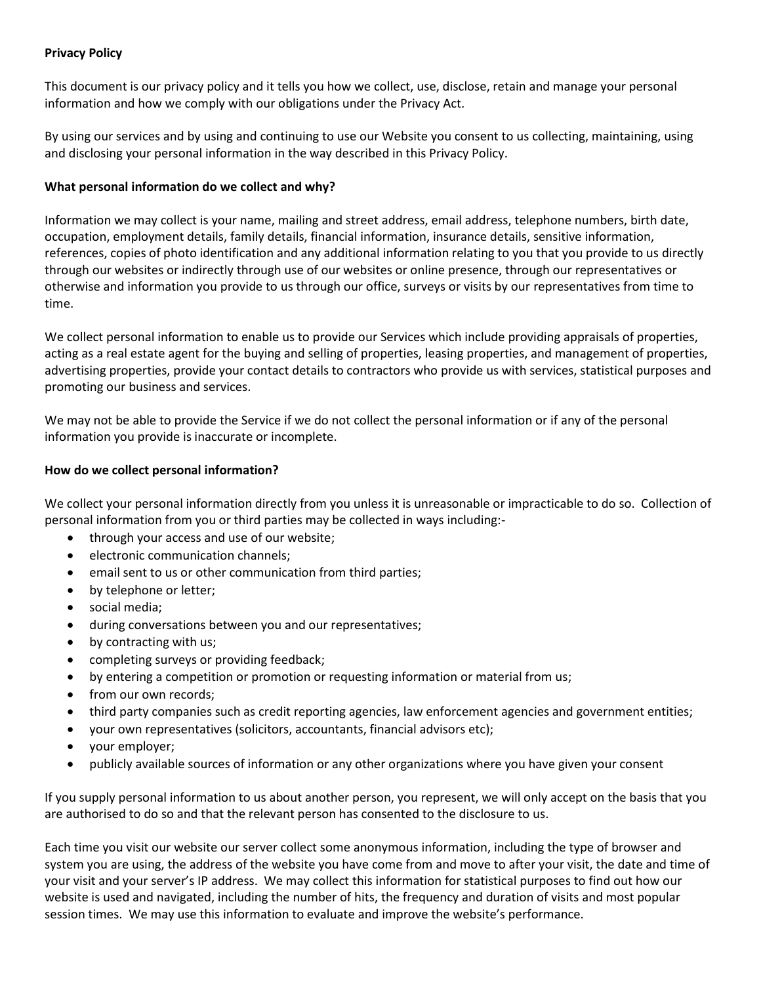# **Privacy Policy**

This document is our privacy policy and it tells you how we collect, use, disclose, retain and manage your personal information and how we comply with our obligations under the Privacy Act.

By using our services and by using and continuing to use our Website you consent to us collecting, maintaining, using and disclosing your personal information in the way described in this Privacy Policy.

## **What personal information do we collect and why?**

Information we may collect is your name, mailing and street address, email address, telephone numbers, birth date, occupation, employment details, family details, financial information, insurance details, sensitive information, references, copies of photo identification and any additional information relating to you that you provide to us directly through our websites or indirectly through use of our websites or online presence, through our representatives or otherwise and information you provide to us through our office, surveys or visits by our representatives from time to time.

We collect personal information to enable us to provide our Services which include providing appraisals of properties, acting as a real estate agent for the buying and selling of properties, leasing properties, and management of properties, advertising properties, provide your contact details to contractors who provide us with services, statistical purposes and promoting our business and services.

We may not be able to provide the Service if we do not collect the personal information or if any of the personal information you provide is inaccurate or incomplete.

# **How do we collect personal information?**

We collect your personal information directly from you unless it is unreasonable or impracticable to do so. Collection of personal information from you or third parties may be collected in ways including:-

- through your access and use of our website;
- electronic communication channels;
- email sent to us or other communication from third parties;
- by telephone or letter;
- social media;
- during conversations between you and our representatives;
- by contracting with us;
- completing surveys or providing feedback;
- by entering a competition or promotion or requesting information or material from us;
- from our own records;
- third party companies such as credit reporting agencies, law enforcement agencies and government entities;
- your own representatives (solicitors, accountants, financial advisors etc);
- your employer;
- publicly available sources of information or any other organizations where you have given your consent

If you supply personal information to us about another person, you represent, we will only accept on the basis that you are authorised to do so and that the relevant person has consented to the disclosure to us.

Each time you visit our website our server collect some anonymous information, including the type of browser and system you are using, the address of the website you have come from and move to after your visit, the date and time of your visit and your server's IP address. We may collect this information for statistical purposes to find out how our website is used and navigated, including the number of hits, the frequency and duration of visits and most popular session times. We may use this information to evaluate and improve the website's performance.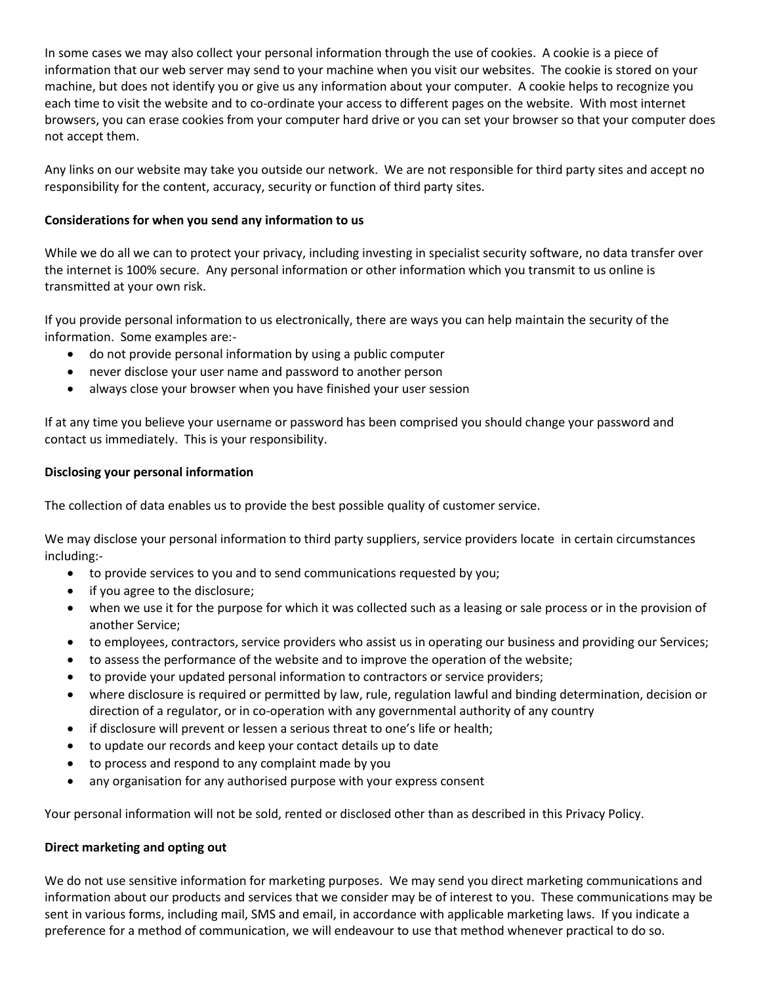In some cases we may also collect your personal information through the use of cookies. A cookie is a piece of information that our web server may send to your machine when you visit our websites. The cookie is stored on your machine, but does not identify you or give us any information about your computer. A cookie helps to recognize you each time to visit the website and to co-ordinate your access to different pages on the website. With most internet browsers, you can erase cookies from your computer hard drive or you can set your browser so that your computer does not accept them.

Any links on our website may take you outside our network. We are not responsible for third party sites and accept no responsibility for the content, accuracy, security or function of third party sites.

# **Considerations for when you send any information to us**

While we do all we can to protect your privacy, including investing in specialist security software, no data transfer over the internet is 100% secure. Any personal information or other information which you transmit to us online is transmitted at your own risk.

If you provide personal information to us electronically, there are ways you can help maintain the security of the information. Some examples are:-

- do not provide personal information by using a public computer
- never disclose your user name and password to another person
- always close your browser when you have finished your user session

If at any time you believe your username or password has been comprised you should change your password and contact us immediately. This is your responsibility.

### **Disclosing your personal information**

The collection of data enables us to provide the best possible quality of customer service.

We may disclose your personal information to third party suppliers, service providers locate in certain circumstances including:-

- to provide services to you and to send communications requested by you;
- if you agree to the disclosure;
- when we use it for the purpose for which it was collected such as a leasing or sale process or in the provision of another Service;
- to employees, contractors, service providers who assist us in operating our business and providing our Services;
- to assess the performance of the website and to improve the operation of the website;
- to provide your updated personal information to contractors or service providers;
- where disclosure is required or permitted by law, rule, regulation lawful and binding determination, decision or direction of a regulator, or in co-operation with any governmental authority of any country
- if disclosure will prevent or lessen a serious threat to one's life or health;
- to update our records and keep your contact details up to date
- to process and respond to any complaint made by you
- any organisation for any authorised purpose with your express consent

Your personal information will not be sold, rented or disclosed other than as described in this Privacy Policy.

### **Direct marketing and opting out**

We do not use sensitive information for marketing purposes. We may send you direct marketing communications and information about our products and services that we consider may be of interest to you. These communications may be sent in various forms, including mail, SMS and email, in accordance with applicable marketing laws. If you indicate a preference for a method of communication, we will endeavour to use that method whenever practical to do so.